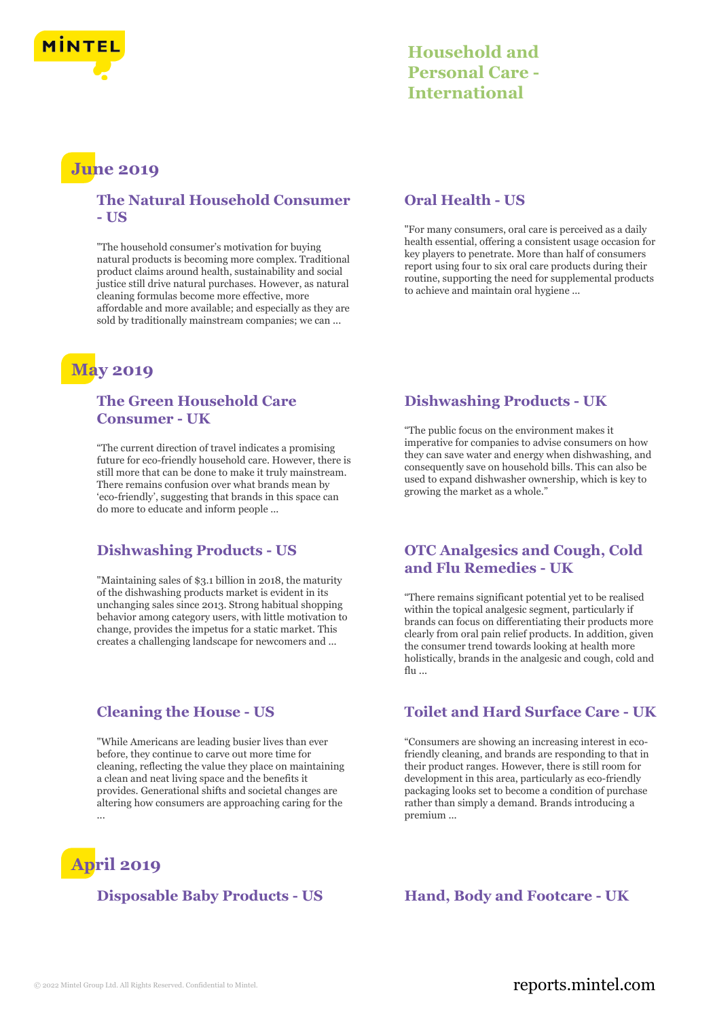

## **Household and Personal Care - International**

# **June 2019**

### **The Natural Household Consumer - US**

"The household consumer's motivation for buying natural products is becoming more complex. Traditional product claims around health, sustainability and social justice still drive natural purchases. However, as natural cleaning formulas become more effective, more affordable and more available; and especially as they are sold by traditionally mainstream companies; we can ...

# **May 2019**

### **The Green Household Care Consumer - UK**

"The current direction of travel indicates a promising future for eco-friendly household care. However, there is still more that can be done to make it truly mainstream. There remains confusion over what brands mean by 'eco-friendly', suggesting that brands in this space can do more to educate and inform people ...

### **Dishwashing Products - US**

"Maintaining sales of \$3.1 billion in 2018, the maturity of the dishwashing products market is evident in its unchanging sales since 2013. Strong habitual shopping behavior among category users, with little motivation to change, provides the impetus for a static market. This creates a challenging landscape for newcomers and ...

### **Cleaning the House - US**

"While Americans are leading busier lives than ever before, they continue to carve out more time for cleaning, reflecting the value they place on maintaining a clean and neat living space and the benefits it provides. Generational shifts and societal changes are altering how consumers are approaching caring for the ...

# **April 2019**

**Disposable Baby Products - US Hand, Body and Footcare - UK**

### **Oral Health - US**

"For many consumers, oral care is perceived as a daily health essential, offering a consistent usage occasion for key players to penetrate. More than half of consumers report using four to six oral care products during their routine, supporting the need for supplemental products to achieve and maintain oral hygiene ...

### **Dishwashing Products - UK**

"The public focus on the environment makes it imperative for companies to advise consumers on how they can save water and energy when dishwashing, and consequently save on household bills. This can also be used to expand dishwasher ownership, which is key to growing the market as a whole."

### **OTC Analgesics and Cough, Cold and Flu Remedies - UK**

"There remains significant potential yet to be realised within the topical analgesic segment, particularly if brands can focus on differentiating their products more clearly from oral pain relief products. In addition, given the consumer trend towards looking at health more holistically, brands in the analgesic and cough, cold and  $flu$  ...

### **Toilet and Hard Surface Care - UK**

"Consumers are showing an increasing interest in ecofriendly cleaning, and brands are responding to that in their product ranges. However, there is still room for development in this area, particularly as eco-friendly packaging looks set to become a condition of purchase rather than simply a demand. Brands introducing a premium ...